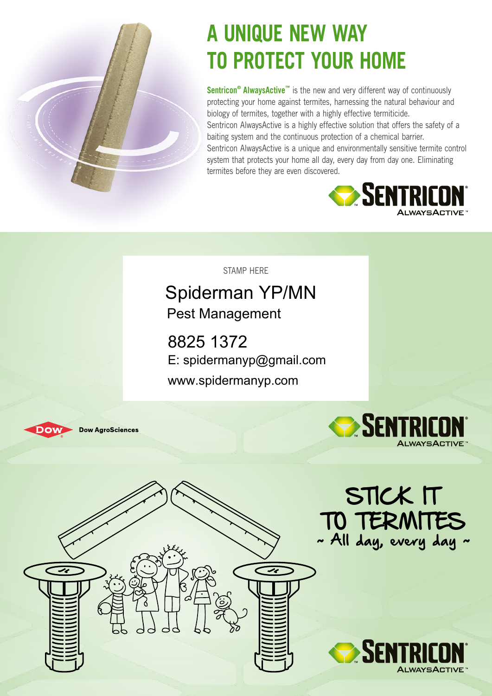

# **A Unique NEW WAY TO PROTECT YOUR HOME**

**Sentricon® AlwaysActive™** is the new and very different way of continuously protecting your home against termites, harnessing the natural behaviour and biology of termites, together with a highly effective termiticide. Sentricon AlwaysActive is a highly effective solution that offers the safety of a baiting system and the continuous protection of a chemical barrier. Sentricon AlwaysActive is a unique and environmentally sensitive termite control system that protects your home all day, every day from day one. Eliminating termites before they are even discovered.



STAMP HERE

#### Spiderman YP/MN Pest Management

8825 1372 E: spidermanyp@gmail.com www.spidermanyp.com







STICK IT

~ All day, every day ~

**SENTRI** 

TO TERMITE